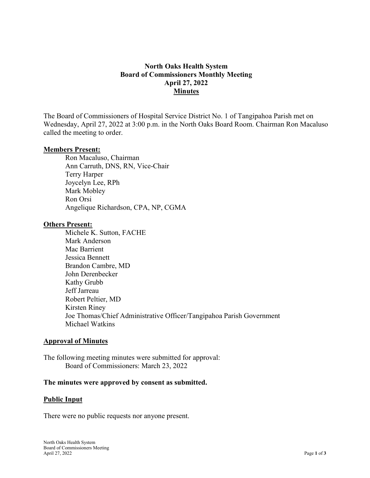# North Oaks Health System Board of Commissioners Monthly Meeting April 27, 2022 Minutes

The Board of Commissioners of Hospital Service District No. 1 of Tangipahoa Parish met on Wednesday, April 27, 2022 at 3:00 p.m. in the North Oaks Board Room. Chairman Ron Macaluso called the meeting to order.

#### Members Present:

Ron Macaluso, Chairman Ann Carruth, DNS, RN, Vice-Chair Terry Harper Joycelyn Lee, RPh Mark Mobley Ron Orsi Angelique Richardson, CPA, NP, CGMA

#### **Others Present:**

Michele K. Sutton, FACHE Mark Anderson Mac Barrient Jessica Bennett Brandon Cambre, MD John Derenbecker Kathy Grubb Jeff Jarreau Robert Peltier, MD Kirsten Riney Joe Thomas/Chief Administrative Officer/Tangipahoa Parish Government Michael Watkins

## Approval of Minutes

The following meeting minutes were submitted for approval: Board of Commissioners: March 23, 2022

## The minutes were approved by consent as submitted.

## Public Input

There were no public requests nor anyone present.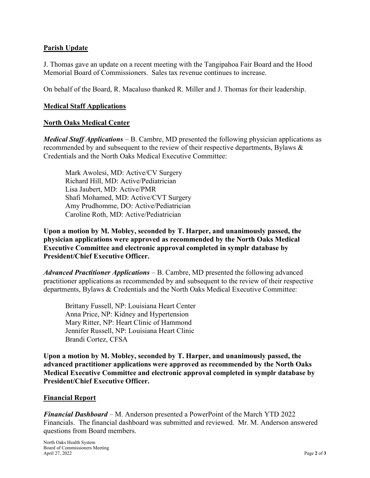## Parish Update

J. Thomas gave an update on a recent meeting with the Tangipahoa Fair Board and the Hood Memorial Board of Commissioners. Sales tax revenue continues to increase.

On behalf of the Board, R. Macaluso thanked R. Miller and J. Thomas for their leadership.

## Medical Staff Applications

#### North Oaks Medical Center

*Medical Staff Applications* – B. Cambre, MD presented the following physician applications as recommended by and subsequent to the review of their respective departments, Bylaws & Credentials and the North Oaks Medical Executive Committee:

Mark Awolesi, MD: Active/CV Surgery Richard Hill, MD: Active/Pediatrician Lisa Jaubert, MD: Active/PMR Shafi Mohamed, MD: Active/CVT Surgery Amy Prudhomme, DO: Active/Pediatrician Caroline Roth, MD: Active/Pediatrician

Upon a motion by M. Mobley, seconded by T. Harper, and unanimously passed, the physician applications were approved as recommended by the North Oaks Medical Executive Committee and electronic approval completed in symplr database by President/Chief Executive Officer.

Advanced Practitioner Applications – B. Cambre, MD presented the following advanced practitioner applications as recommended by and subsequent to the review of their respective departments, Bylaws & Credentials and the North Oaks Medical Executive Committee:

 Brittany Fussell, NP: Louisiana Heart Center Anna Price, NP: Kidney and Hypertension Mary Ritter, NP: Heart Clinic of Hammond Jennifer Russell, NP: Louisiana Heart Clinic Brandi Cortez, CFSA

Upon a motion by M. Mobley, seconded by T. Harper, and unanimously passed, the advanced practitioner applications were approved as recommended by the North Oaks Medical Executive Committee and electronic approval completed in symplr database by President/Chief Executive Officer.

#### Financial Report

Financial Dashboard – M. Anderson presented a PowerPoint of the March YTD 2022 Financials. The financial dashboard was submitted and reviewed. Mr. M. Anderson answered questions from Board members.